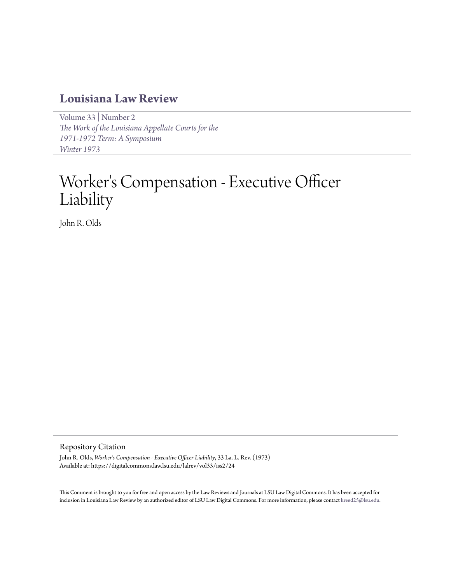# **[Louisiana Law Review](https://digitalcommons.law.lsu.edu/lalrev)**

[Volume 33](https://digitalcommons.law.lsu.edu/lalrev/vol33) | [Number 2](https://digitalcommons.law.lsu.edu/lalrev/vol33/iss2) *[The Work of the Louisiana Appellate Courts for the](https://digitalcommons.law.lsu.edu/lalrev/vol33/iss2) [1971-1972 Term: A Symposium](https://digitalcommons.law.lsu.edu/lalrev/vol33/iss2) [Winter 1973](https://digitalcommons.law.lsu.edu/lalrev/vol33/iss2)*

# Worker 's Compensation - Executive Officer Liability

John R. Olds

# Repository Citation

John R. Olds, *Worker's Compensation - Executive Officer Liability*, 33 La. L. Rev. (1973) Available at: https://digitalcommons.law.lsu.edu/lalrev/vol33/iss2/24

This Comment is brought to you for free and open access by the Law Reviews and Journals at LSU Law Digital Commons. It has been accepted for inclusion in Louisiana Law Review by an authorized editor of LSU Law Digital Commons. For more information, please contact [kreed25@lsu.edu](mailto:kreed25@lsu.edu).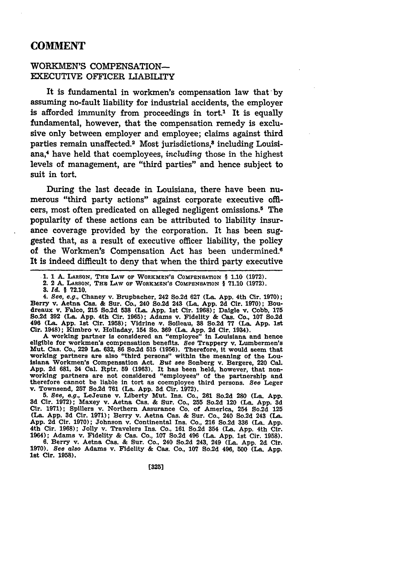# **COMMENT**

# WORKMEN'S COMPENSATION-EXECUTIVE OFFICER LIABILITY

It is fundamental in workmen's compensation law that by assuming no-fault liability for industrial accidents, the employer is afforded immunity from proceedings in tort.<sup>1</sup> It is equally fundamental, however, that the compensation remedy is exclusive only between employer and employee; claims against third parties remain unaffected.<sup>2</sup> Most jurisdictions,<sup>8</sup> including Louisiana,4 have held that coemployees, *including* those in the highest levels of management, are "third parties" and hence subject to suit in tort.

During the last decade in Louisiana, there have been numerous "third party actions" against corporate executive officers, most often predicated on alleged negligent omissions.5 The popularity of these actions can be attributed to liability insurance coverage provided **by** the corporation. It has been suggested that, as a result of executive officer liability, the policy of the Workmen's Compensation Act has been undermined.<sup>6</sup> It is indeed difficult to deny that when the third party executive

4. *See, e.g.,* Chaney v. Brupbacher, 242 So.2d **627** (La. **App.** 4th Cir. **1970);** Berry v. Aetna Cas. **&** Sur. Co., 240 So.2d 243 (La. **App. 2d** Cir. **1970); Bou**dreaux v. Falco, **215** So.2d **538** (La. **App. 1st** Cir. **1968);** Daigle v. Cobb, **175** So.2d **392** (La. **App.** 4th Cir. **1965);** Adams v. Fidelity **&** Cas. Co., **107** So.2d 496 (La. **App. 1st** Cir. **1958);** Vidrine v. Solleau, **38** So.2d **77** (La. **App. 1st** Cir. 1948); Kimbro v. Holladay, 154 So. **369** (La. **App. 2d** Cir. 1934).

A working partner is considered an "employee" in Louisiana and hence eligible for workmen's compensation benefits. *See* Trappery v. Lumbermen's Mut. Cas. Co., **229** La. **632, 86** So.2d **515 (1956).** Therefore, it would seem that working partners are also "third persons" within the meaning of the Louislana Workmen's Compensation Act. But see Sonberg v. Bergere, 220 Cal.<br>App. 2d 681, 34 Cal. Rptr. 59 (1963). It has been held, however, that non-<br>working partners are not considered "employees" of the partnership and therefore cannot be liable in tort as coemployee third persons. *See* Leger v. Townsend, **257** So.2d **761** (La. **App. 3d** Cir. **1972).**

**5.** *See, e.g.,* LeJeune v. Liberty Mut. Ins. Co., **261** So.2d **280** (La. **App. 3d** Cir. **1972);** Maxey v. Aetna Cas. **&** Sur. Co., **255** So.2d 120 (La. **App. 3d** Cir. **1971);** Spillers v. Northern Assurance Co. of America, 254 So.2d **125** (La. **App. 3d** Cir. **1971);** Berry v. Aetna Cas. **&** Sur. Co., 240 So.2d 243 **(La. App. 2d** Cir. **1970);** Johnson v. Continental Ins. Co., **216** So.2d **336** (La. **App.** 4th Cir. **1968);** Jolly v. Travelers Ins. Co., **161** So.2d 354 (La. **App.** 4th Cir. 1964); Adams v. Fidelity **&** Cas. Co., **107** So.2d 496 (La. **App.** 1st Cir. **1958).**

**6.** Berry v. Aetna Cas. **&** Sur. Co., 240 So.2d 243, 249 (La. **App. 2d** Cir. 1970). *See also* Adams v. Fidelity & Cas. Co., 107 So.2d 496, 500 (La. App. let Cir. **1958).**

[3251

<sup>1.</sup> **1** A. **LARSON, THE LAW OF** WORKMEN'S COMPENSATION § **1.10 (1972).** 2. 2 **A. LARSON,** THE LAW **OF** WORKMEN'S **COMPENSATION** § **71.10 (1972).** *3. Id.* § **72.10.**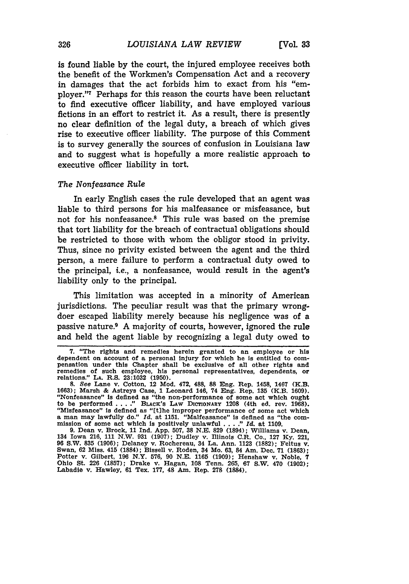is found liable **by** the court, the injured employee receives both the benefit of the Workmen's Compensation Act and a recovery in damages that the act forbids him to exact from his "employer."<sup>7</sup> Perhaps for this reason the courts have been reluctant to find executive officer liability, and have employed various fictions in an effort to restrict it. As a result, there is presently no clear definition of the legal duty, a breach of which gives rise to executive officer liability. The purpose of this Comment is to survey generally the sources of confusion in Louisiana law and to suggest what is hopefully a more realistic approach to executive officer liability in tort.

#### *The Nonfeasance Rule*

In early English cases the rule developed that an agent was liable to third persons for his malfeasance or misfeasance, but not for his nonfeasance.8 This rule was based on the premise that tort liability for the breach of contractual obligations should be restricted to those with whom the obligor stood in privity. Thus, since no privity existed between the agent and the third person, a mere failure to perform a contractual duty owed to the principal, i.e., a nonfeasance, would result in the agent's liability only to the principal.

This limitation was accepted in a minority of American jurisdictions. The peculiar result was that the primary wrongdoer escaped liability merely because his negligence was of a passive nature.9 A majority of courts, however, ignored the rule and held the agent liable by recognizing a legal duty owed to

<sup>7. &</sup>quot;The rights and remedies herein granted to an employee or his dependent on account of a personal injury for which he is entitled to compensation under this Chapter shall be exclusive of all other rights and remedies of such employee, his personal representatives, dependents, or relations." **LA.** R.S. **23:1032 (1950).**

**<sup>8.</sup> See** Lane v. Cotton, 12 Mod. 472, 488, **88** Eng. Rep. 1458, 1467 (K.B. **1663);** Marsh & Astreys Case, **1** Leonard 146, 74 Eng. Rep. **135** (K.B. **1609).** "Nonfeasance" Is defined as "the non-performance of some act which ought to be performed . **. . ." BLACK'S LAW DIcTIONARY** 1208 (4th ed. rev. **1968).** "Misfeasance" is defined as "[t]he improper performance of some act which<br>a man may lawfully do." Id. at 1151. "Malfeasance" is defined as "the com-<br>mission of some act which is positively unlawful . . .." Id. at 1109.

**<sup>9.</sup>** Dean v. Brock, **11 Ind. App. 507, 38 N.E. 829** (1894); Williams v. Dean, 134 Iowa **216, 111** N.W. **931 (1907);** Dudley v. Illinois C.R. Co., **127 Ky.** 221, **96** S.W. **835 (1906);** Delaney v. Rochereau, 34 La. Ann. **1123 (1882);** Feltus v. Swan, **62** Miss. 415 **(1884);** Bissell v. Roden, 34 Mo. **63,** 84 Am. Dec. **71 (1863);** Potter v. Gilbert, **196** N.Y. **576, 90 N.E. 1165 (1909);** Henshaw v. Noble, **7** Ohio St. **226 (1857);** Drake v. Hagan, **108** Tenn. **265, 67** S.W. 470 **(1902);** Labadie v. Hawley, **61** Tex. **177,** 48 Am. Rep. **278** (1884).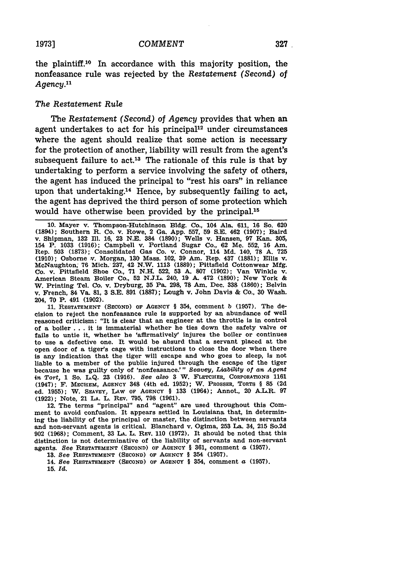the plaintiff.<sup>10</sup> In accordance with this majority position, the nonfeasance rule was rejected by the *Restatement (Second) of Agency."*

### *The Restatement Rule*

The *Restatement (Second) of Agency* provides that when an agent undertakes to act for his principal<sup>12</sup> under circumstances where the agent should realize that some action is necessary for the protection of another, liability will result from the agent's subsequent failure to act.<sup>13</sup> The rationale of this rule is that by undertaking to perform a service involving the safety of others, the agent has induced the principal to "rest his oars" in reliance upon that undertaking.14 Hence, by subsequently failing to act, the agent has deprived the third person of some protection which would have otherwise been provided by the principal.<sup>15</sup>

**11.** RESTATEMENT **(SECOND) OF** AGENCY § 354, comment *b* **(1957).** The decision to reject the nonfeasance rule Is supported **by** an abundance of well reasoned criticism: "It is clear that an engineer at the throttle is in control of a boiler **. ..** It is immaterial whether he ties down the safety valve or fails to untie it, whether he 'affirmatively' injures the boiler or continues to use a defective one. It would **be** absurd that a servant placed at the open door of a tiger's cage with instructions to close the door when there is any indication that the tiger will escape and who goes to sleep, is not liable to a member of the public injured through the escape of the tiger because he was guilty only of 'nonfeasance.'" *Seavey, Liability of an Agent in Tort,* **1** So. **L.Q. 23 (1916).** *See also* **3** W. FLETCHER, CORPORATIONS **1161** (1947); F. **MECHEM, AGENCY** 348 (4th ed. **1952);** W. **PROSSER,** TORTS § **85 (2d** ed. **1955);** W. **SEAVEY,** LAw **OF AGENCY** § **133** (1964); Annot., 20 A.L.R. **97 (1922);** Note, 21 **LA.** L. REv. **795, 798 (1961).**

12. The terms "principal" and "agent" are used throughout this Comment to avoid confusion. It appears settled in Louisiana that, in determining the liability of the principal or master, the distinction between servants and non-servant agents is critical. Blanchard v. Ogima, **253** La. 34, **215** So.2d **902 (1968);** Comment, **33 LA.** L. REV. **110 (1972).** It should be noted that this distinction is not determinative of the liability of servants and non-servant agents. *See* RESTATEMENT **(SECOND) OF AGENCY** § **361,** comment a **(1957).**

**13.** *See* RESTATEMENT **(SECOND)** OF AGENCY § 354 **(1957).**

14. *See* RESTATEMENT **(SECOND) OF AGENCY** § **354,** comment a **(1957). 15.** *Id.*

**<sup>10.</sup>** Mayer v. Thompson-Hutchinson **Bldg.** Co., 104 **Ala. 611, 16** So. **620** (1894); Southern R. Co. v. Rowe, 2 Ga. **App. 557, 59 S.E.** 462 (1907); Baird v. Shipman, **132 Ill. 16, 23 N.E.** 384 **(1890);** Wells v. Hansen, **97** Kan. **305,** 154 P. **1033 (1916);** Campbell v. Portland Sugar Co., **62** Me. **552, 16** Am. Rep. **503 (1873);** Consolidated Gas Co. v. Connor, 114 **Md.** 140, **78 A. 725 (1910);** Osborne v. Morgan, **130** Mass. 102, **39** Am. Rep. 437 **(1881);** Ellis v. McNaughton, **76** Mich. 237, 42 N.W. **1113 (1889);** Pittsfield Cottonwear **Mfg.** Co. v. Pittsfield Shoe Co., **71 N.H. 522, 53 A. 807 (1902);** Van Winkle v. American Steam Boiler Co., **52 N.J.L.** 240, **19 A.** 472 **(1890);** New York **&** W. Printing Tel. Co. v. Dryburg, **35 Pa. 298, 78 Am.** Dec. **338 (1860);** Belvin v. French, 84 Va. **81, 3 S.E. 891 (1887);** Lough v. John Davis **&** Co., **30** Wash. 204, **70** P. 491 **(1902).**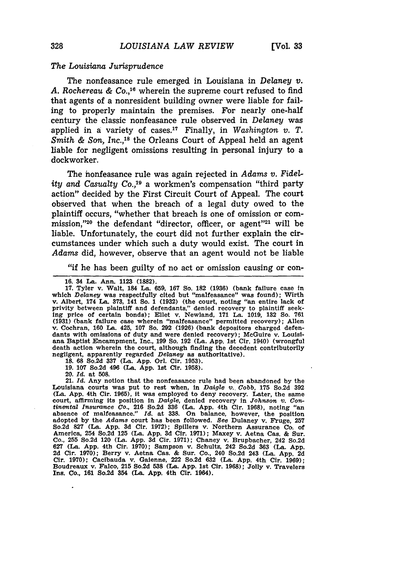#### *The Louisiana Jurisprudence*

The nonfeasance rule emerged in Louisiana in *Delaney* v. A. Rochereau & Co.,<sup>16</sup> wherein the supreme court refused to find that agents of a nonresident building owner were liable for failing to properly maintain the premises. For nearly one-half century the classic nonfeasance rule observed in *Delaney* was applied in a variety of cases.<sup>17</sup> Finally, in *Washington v. T. Smith & Son, Inc.,18* the Orleans Court of Appeal held an agent liable for negligent omissions resulting in personal injury to a dockworker.

The honfeasance rule was again rejected in *Adams v. Fidelity and Casualty Co.,19* a workmen's compensation "third party action" decided by the First Circuit Court of Appeal. The court observed that when the breach of a legal duty owed to the plaintiff occurs, "whether that breach is one of omission or commission,"<sup>20</sup> the defendant "director, officer, or agent"<sup>21</sup> will be liable. Unfortunately, the court did not further explain the circumstances under which such a duty would exist. The court in *Adams* did, however, observe that an agent would not be liable

"if he has been guilty of no act or omission causing or con-

**16.** 34 La. Ann. **1123** (1882).

**17.** Tyler v. Walt, 184 La. **659, 167** So. **182 (1936)** (bank failure case in which *Delaney* was respectfully cited but "malfeasance" was found); Wirth **v.** Albert, 174 La. **373,** 141 So. **1 (1932)** (the court, noting "an entire lack of privity between plaintiff and defendants," denied recovery to plaintiff seek-ing price of certain bonds); Ellet v. Newland, **171** La. **1019, 132** So. **761 (1931)** (bank failure case wherein "malfeasance" permitted recovery); Allen **v,** Cochran, **160** La. 425, **107** So. 292 **(1926)** (bank depositors charged defendants with omissions of duty and were denied recovery); McGuire v. Louisi- ana Baptist Encampment, Inc., **199** So. **192** (La. **App.** 1st Cir. 1940) (wrongful death action wherein the court, although finding the decedent contributorily negligent, apparently regarded *Delaney* as authoritative). **18. 68** So.2d **337** (La. **App.** Orl. Cir. **1953).**

**19. 107** So.2d 496 (La. **App. 1st** Cir. **1958).**

20. *Id.* at **508.**

21. *Id.* Any notion that the nonfeasance rule had been abandoned **by** the Louisiana courts was put to rest when, in *Daigle v.. Cobb,* **175** So.2d **392** (La. **App.** 4th Cir. **1965),** it was employed to deny recovery. Later, the same court, affirming its position in *Daigle,* denied recovery in Johnson *v. Con-tinental Insurance* Co., **216** So.2d **336** (La. **App.** 4th Cir. **1968),** noting "an absence of malfeasance." *Id.* at **338.** On balance, however, the position adopted **by** the *Adams* court has been followed. See Dulaney v. Fruge, **257** So.2d 827 (La. App. 3d Cir. 1972); Spillers v. Northern Assurance Co. of America, 254 So.2d 125 (La. App. 3d Cir. 1971); Maxey v. Aetna Cas. & Sur. Co., 255 So.2d 120 (La. App. 3d Cir. 1971); Chaney v. Brupbacher. 242 So.2 **627** (La. **App.** 4th Cir. **1970);** Sampson v. Schultz, 242 So.2d **363** (La. **App. 2d** Cir. **1970);** Berry v. Aetna Cas. **&** Sur. Co., 240 So.2d 243 (La. **App. 2d Cir. 1970);** Cacibauda v. Gaienne, 222 So.2d **632** (La. **App.** 4th Cir. **1969);** Boudreaux v. Falco, **215** So.2d **538** (La. **App. 1st** Cir. **1968);** Jolly v. Travelers Ins. Co., **161** So.2d 354 (La. **App.** 4th Cir. **1964).**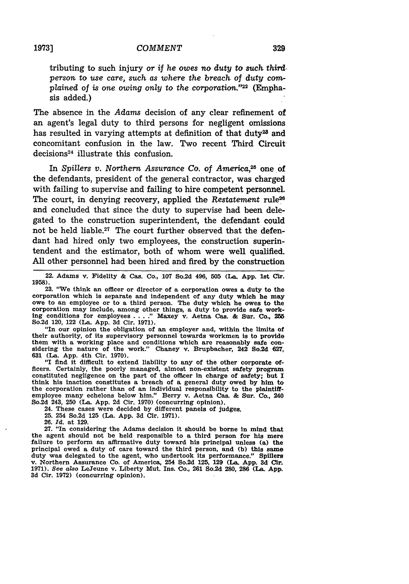tributing to such injury or *if he owes no duty to such third person* to *use care, such as where the breach of duty complained of is* one *owing only to the corporation.'2 <sup>2</sup>*(Emphasis added.)

The absence in the *Adams* decision of any clear refinement of an agent's legal duty to third persons for negligent omissions has resulted in varying attempts at definition of that duty<sup>23</sup> and concomitant confusion in the law. Two recent Third Circuit decisions 24 illustrate this confusion.

In *Spillers v. Northern Assurance Co. of America*<sup>25</sup> one of the defendants, president of the general contractor, was charged with failing to supervise and failing to hire competent personnel. The court, in denying recovery, applied the *Restatement* rule<sup>26</sup> and concluded that since the duty to supervise had been delegated to the construction superintendent, the defendant could not be held liable.<sup>27</sup> The court further observed that the defendant had hired only two employees, the construction superintendent and the estimator, both of whom were well qualified. All other personnel had been hired and fired by the construction

22. Adams v. Fidelity **&** Cas. Co., **107** So.2d 496, **505** (La. **App. 1st** Cir. **1958).**

**23.** "We think an officer or director of a corporation owes a duty to the corporation which is separate and independent of any duty which he may owe to an employee or to a third person. The duty which he owes to the corporation may include, among other things, a duty to provide safe working conditions for employees **.... "** Maxey v. Aetna Cas. **&** Sur. Co., **255** So.2d 120, 122 (La. **App. 3d** Cir. **1971).**

"In our opinion the obligation of an employer and, within the limits **of** their authority, of its supervisory personnel towards workmen is to provide them with a working place and conditions which are reasonably safe considering the nature of the work." Chaney v. Brupbacher, 242 So.2d **627, 631** (La. **App.** 4th Cir. **1970).**

"I find it difficult to extend liability to any of the other corporate officers. Certainly, the poorly managed, almost non-existent safety program constituted negligence on the part of the officer In charge of safety; but **<sup>I</sup>** think his Inaction constitutes a breach of a general duty owed **by** him to the corporation rather than of an individual responsibility to the plaintiffemployee many echelons below him." Berry v. Aetna Cas. **&** Sur. Co., 240 So.2d 243, **250** (La. **App. 2d** Cir. **1970)** (concurring opinion).

24. These cases were decided by different panels of judges.

- 25. 254 So.2d 125 (La. App. **3d** Cir. 1971).
- **26.** *Id.* at 129.

27. "In considering the Adams decision it should be borne in mind that the agent should not be held responsible to a third person for his mere failure to perform an affirmative duty toward his principal unless (a) the principal owed a duty of care toward the third person, and **(b)** this same duty was delegated to the agent, who undertook its performance." Spillers v. Northern Assurance Co. of America, 254 So.2d **125,** 129 (La. App. **3d** Cir. 1971). *See* al8o LeJeune v. Liberty Mut. Ins. Co., **261** So.2d 280, **286** (La. **App. 3d** Cir. 1972) (concurring opinion).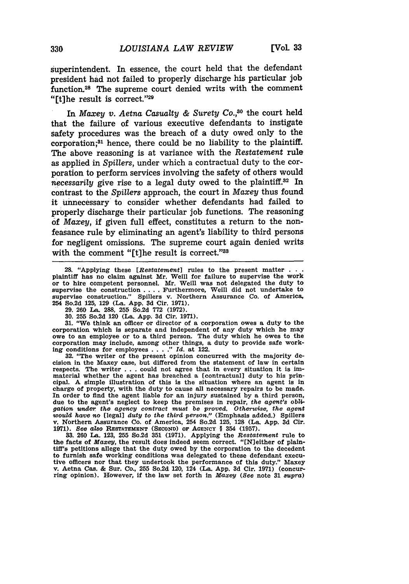superintendent. In essence, the court held that the defendant president had not failed to properly discharge his particular job function. 28 The supreme court denied writs with the comment "[t]he result is correct."29

*In Maxey v. Aetna Casualty & Surety Co.,30* the court held that the failure of various executive defendants to instigate safety procedures was the breach of a duty owed only to the corporation;81 hence, there could be no liability to the plaintiff. The above reasoning is at variance with the *Restatement* rule as applied in *Spillers,* under which a contractual duty to the corporation to perform services involving the safety of others would *necessarily* give rise to a legal duty owed to the plaintiff.<sup>32</sup> In contrast to the *Spillers* approach, the court in *Maxey* thus found it unnecessary to consider whether defendants had failed to properly discharge their particular job functions. The reasoning of *Maxey,* if given full effect, constitutes a return to the nonfeasance rule by eliminating an agent's liability to third persons for negligent omissions. The supreme court again denied writs with the comment "[t]he result is correct."38

**31.** "We think an officer or director of a corporation owes a duty to the corporation which is separate and independent of any duty which he may owe to an employee or to a third person. The duty which he owes to the corporation may include, among other things, a duty to provide safe working conditions for employees .... **."** *Id.* at 122.

**32.** "The writer of the present opinion concurred with the majority decision in the Maxey case, but differed from the statement of law in certain respects. The writer . . . could not agree that in every situation it is immaterial whether the agent has breached a [contractual] duty to his principal. **A** simple illustration of this is the situation where an agent is in charge of property, with the duty to cause all necessary repairs to be made. In order to find the agent liable for an injury sustained by a third person, due to the agent's neglect to keep the premises in repair, *the agent's* obli*gation under the agency contract must be proved. Otherwise, the agent would have no* [legal] *duty to the third person."* (Emphasis added.) Spillers v. Northern Assurance Co. of America, 254 So.2d 125, 128 (La. App. 3d Cir. **1971).** See *also* RESTATEMENT **(SEcoND)** or AGENCY § 354 **(1957). 33. 260** La. **123, 255** So.2d **351 (1971).** Applying the *Restatement* rule to

the facts of *Maxey,* the result does indeed seem correct. "[N]either of plaintiff's petitions allege that the duty owed **by** the corporation to the decedent to furnish safe working conditions was delegated to these defendant executive officers nor that they undertook the performance of this duty." Maxey v. Aetna Cas. **&** Sur. Co., **255** So.2d 120, 124 (La. **App. 3d** Cir. **1971)** (concurring opinion). However, if the law set forth in *Maxey (See* note **31** *supra)*

<sup>28. &</sup>quot;Applying these *[Restatement]* rules to the present matter **. . .** plaintiff has no claim against Mr. Weill for failure to supervise the work or to hire competent personnel. Mr. Weill was not delegated the duty to supervise the construction . . . . Furthermore, Weill did not undertake to supervise construction." Spillers v. Northern Assurance Co. of America, 254 So.2d 125, 129 (La. App. 3d Cir. 1971).

**<sup>29.</sup>** 260 **La.** 288, **255** So.2d 772 (1972).

**<sup>30. 255</sup>** So.2d 120 (La. App. **3d** Cir. 1971).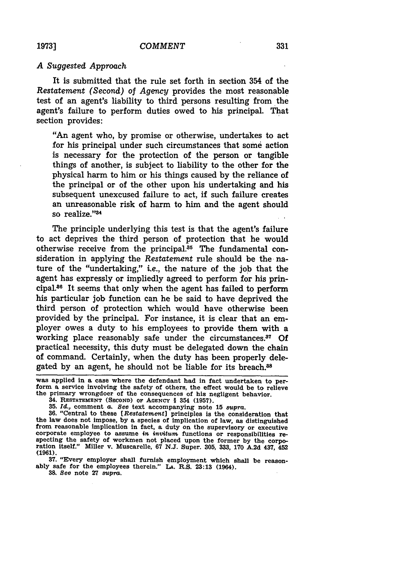#### *A Suggested Approach*

It is submitted that the rule set forth in section 354 of the *Restatement (Second)* of *Agency* provides the most reasonable test of an agent's liability to third persons resulting from the agent's failure to perform duties owed to his principal. That section provides:

"An agent who, by promise or otherwise, undertakes to act for his principal under such circumstances that some action is necessary for the protection of the person or tangible things of another, is subject to liability to the other for the physical harm to him or his things caused by the reliance of the principal or of the other upon his undertaking and his subsequent unexcused failure to act, if such failure creates an unreasonable risk of harm to him and the agent should so realize."34

The principle underlying this test is that the agent's failure to act deprives the third person of protection that he would otherwise receive from the principal.<sup>35</sup> The fundamental consideration in applying the *Restatement* rule should be the nature of the "undertaking," i.e., the nature of the job that the agent has expressly or impliedly agreed to perform for his principal.46 It seems that only when the agent has failed to perform his particular **job** function can he be said to have deprived the third person of protection which would have otherwise been provided by the principal. For instance, it is clear that an employer owes a duty to his employees to provide them with a working place reasonably safe under the circumstances.<sup>37</sup> Of practical necessity, this duty must be delegated down the chain of command. Certainly, when the duty has been properly delegated by an agent, he should not be liable for its breach.<sup>38</sup>

**37.** "Every employer shall furnish employment which shall be reason- ably safe for the employees therein." **LA.** R.S. **23:13** (1964).

**38.** See note 27 *supra.*

was applied in a case where the defendant had in fact undertaken to per- form a service involving the safety of others, the effect would be to relieve the primary wrongdoer of the consequences of his negligent behavior.

<sup>34.</sup> RESTATEMENT **(SECOND) OF AGENCY §** 354 **(1957).**

**<sup>35.</sup>** *IU.,* comment a. See text accompanying note **15** *supra.*

**<sup>36.</sup>** "Central to these *[Restatement]* principles is the consideration that the law does not impose, **by** a species of implication of law, as distinguished from reasonable implication in fact, a duty on the supervisory or executive from reasonable implication in fact, a duty on the supervisory or executive corporate employee to assume in invitum functions or responsibilities respecting the safety of workmen not placed upon the former by the corporat **(1961).**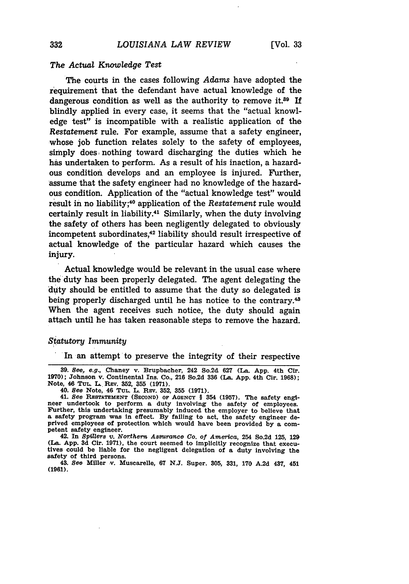#### *The Actual Knowledge Test*

The courts in the cases following *Adams* have adopted the requirement that the defendant have actual knowledge of the dangerous condition as well as the authority to remove it. $39$  If blindly applied in every case, it seems that the "actual knowledge test" is incompatible with a realistic application of the *Restatement* rule. For example, assume that a safety engineer, whose job function relates solely to the safety of employees, simply does nothing toward discharging the duties which he has undertaken to perform. As a result of his inaction, a hazardous condition develops and an employee is injured. Further, assume that the safety engineer had no knowledge of the hazardous condition. Application of the "actual knowledge test" would result in no liability;40 application of the *Restatement* rule would certainly result in liability.41 Similarly, when the duty involving the safety of others has been negligently delegated to obviously incompetent subordinates,<sup>42</sup> liability should result irrespective of actual knowledge of the particular hazard which causes the injury.

Actual knowledge would be relevant in the usual case where the duty has been properly delegated. The agent delegating the duty should be entitled to assume that the duty so delegated is being properly discharged until he has notice to the contrary.<sup>43</sup> When the agent receives such notice, the duty should again attach until he has taken reasonable steps to remove the hazard.

## *Statutory Immunity*

In an attempt to preserve the integrity of their respective

**39.** *See,* **e.g.,** Chaney v. Brupbacher, 242 So.2d **627 (IL** App. 4th Cir. **1970);** Johnson v. Continental Ins. Co., 216 So.2d **336 (La. App.** 4th Cir. **1968);** Note, **46 TUr. L.** REv. **352, 355 (1971).**

40. *See* Note, 46 **TUL.** L. REv. **352, 355 (1971).**

41. *See* **RESTATEMENT (SECOND) oF AGENCY** § 354 **(1957).** The safety engi- neer undertook to perform a duty involving the safety of employees. Further, this undertaking presumably induced the employer to believe that a safety program was in effect. **By** failing to act, the safety engineer deprived employees of protection which would have been provided **by** a competent safety engineer.

**42.** In *Spillers v. Northern Assurance Co.* of *America,* 254 So.2d **125, 129** (La. App. **3d** Cir. **1971),** the court seemed to implicitly recognize that execu- tives could be liable for the negligent delegation of a duty involving the tives could be liable for the negligent delegation of a duty involving the safety of third persons.

43. *See* Miller v. Muscarelle, **67** N.J. Super. 305, **331, 170 A.2d** 437, 451 **(1961).**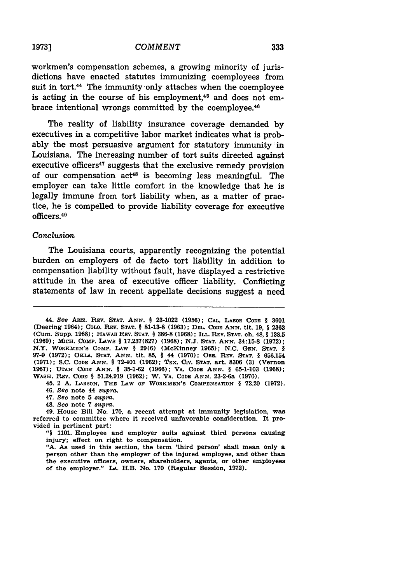#### **1973]** *COMMENT*

workmen's compensation schemes, a growing minority of jurisdictions have enacted statutes immunizing coemployees from suit in tort.<sup>44</sup> The immunity only attaches when the coemployee is acting in the course of his employment,<sup>45</sup> and does not embrace intentional wrongs committed by the coemployee.<sup>46</sup>

The reality of liability insurance coverage demanded by executives in a competitive labor market indicates what is probably the most persuasive argument for statutory immunity in Louisiana. The increasing number of tort suits directed against executive officers<sup> $47$ </sup> suggests that the exclusive remedy provision of our compensation  $act^{48}$  is becoming less meaningful. The employer can take little comfort in the knowledge that he is legally immune from tort liability when, as a matter of practice, he is compelled to provide liability coverage for executive officers.<sup>4</sup>

#### *Conclusion*

The Louisiana courts, apparently recognizing the potential burden on employers of de facto tort liability in addition to compensation liability without fault, have displayed a restrictive attitude in the area of executive officer liability. Conflicting statements of law in recent appellate decisions suggest a need

45. 2 **A. LARSON,** THE LAW **OF WORKMEN'S COMPENSATION** § **72.20 (1972).** 46. *See* note 44 *supra.*

- 47. *See* note **5 supra.**
- 48. *See* note **7** *supra.*

49. House Bill No. **170,** a recent attempt at immunity legislation, **was** referred to committee where it received unfavorable consideration. It provided in pertinent part:

*"§* **1101.** Employee and employer suits against third persons causing injury; effect on right to compensation.

**"A.** As used in this section, the term 'third person' shall mean only a person other than the employer of the injured employee, and other than the executive officers, owners, shareholders, agents, or other employees of the employer." **A.** H.B. No. **170** (Regular Session, **1972).**

**<sup>44.</sup>** *See* **ARIz. REV. STAT. ANN.** § **23-1022 (1956); CAL.** LABOR **CODE** § **3601** (Deering 1964); **COLO. Rv.** STAT. § **81-13-8 (1963);** DEL. **CODE ANN.** tit. **19,** § **<sup>2363</sup>** (Cum. Supp. **1968); HAWAII** REV. **STAT.** § **386-8** (1968); **ILi. REV.** STAT. ch. 48, § **138.5 (1969);** MIcH. *COMP.* LAwS § **17.237(827) (1968); N.J. STAT. ANN.** 34:15-8 **(1972);** N.Y. **WORKMEN'S** COMP. LAW **§ 29(6)** (McKinney **1965); N.C. GEN. STAT.** § **97-9 (1972);** OKLA. **STAT. ANN.** tit. **85,** § 44 **(1970);** ORE. REV. **STAT.** § **656.154 (1971); S.C. CODE ANN.** § 72-401 **(1962);** TEX. **CIV. STAT.** art. **8306 (3)** (Vernon **1967); UTAH CODE ANN.** § **35-1-62 (1966);** VA. **CODE ANN.** § **65-1-103 (1968);** WASH. REV. **CODE** § 51.24.919 **(1962);** W. VA. **CODE ANN.** 23-2-6a **(1970).**